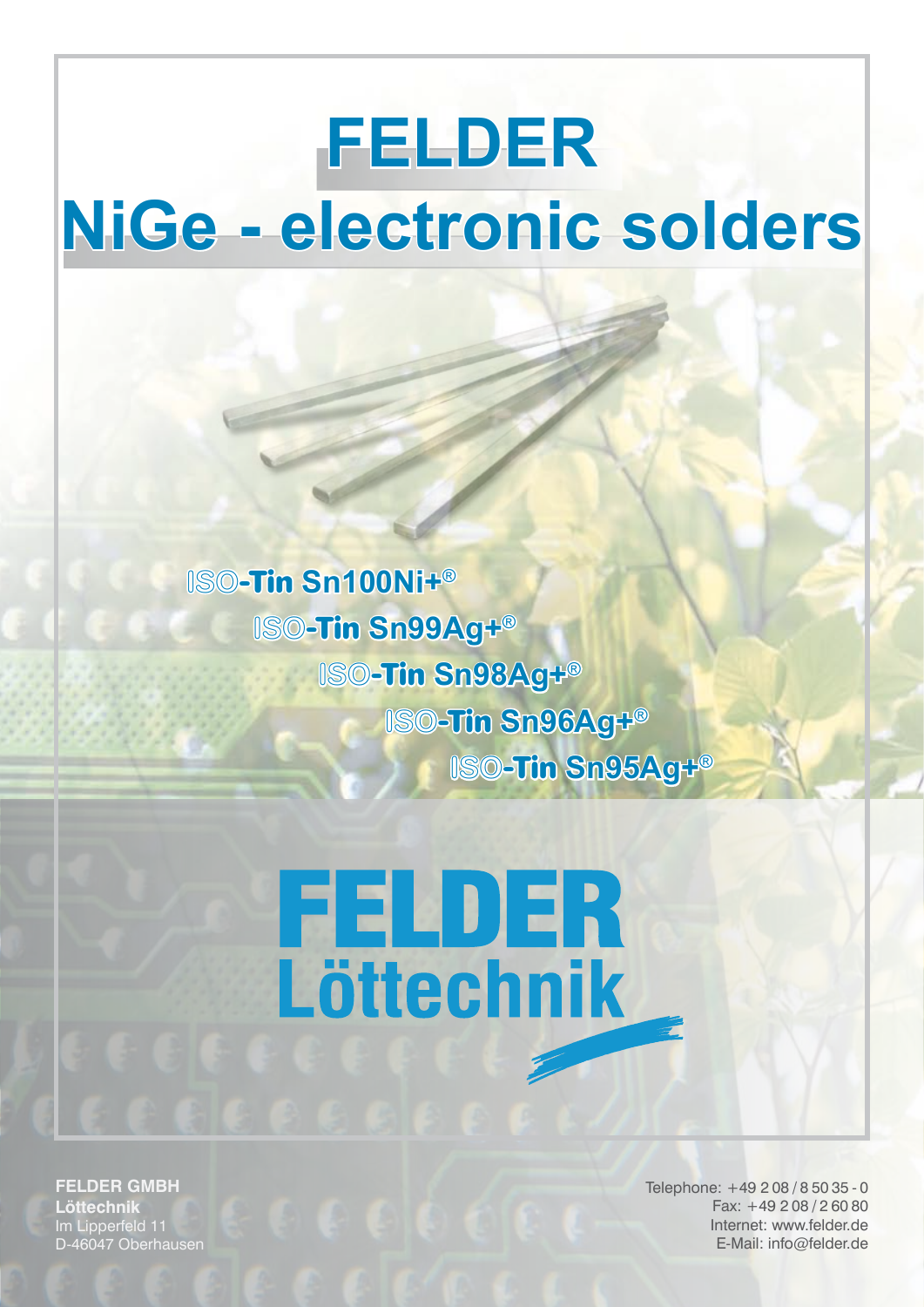### **FELDER NiGe - electronic solders**

 ISO**-Tin Sn100Ni+**®  ISO**-Tin Sn99Ag+**®  ISO**-Tin Sn98Ag+**® ISO**-Tin Sn96Ag+**® ISO**-Tin Sn95Ag+**®

# **FELDER**<br>Löttechnik

**FELDER GMBH Löttechnik** Im Lipperfeld 11 D-46047 Oberhausen Telephone: +49 2 08 / 8 50 35 - 0 Fax: +49 2 08 / 2 60 80 Internet: www.felder.de E-Mail: info@felder.de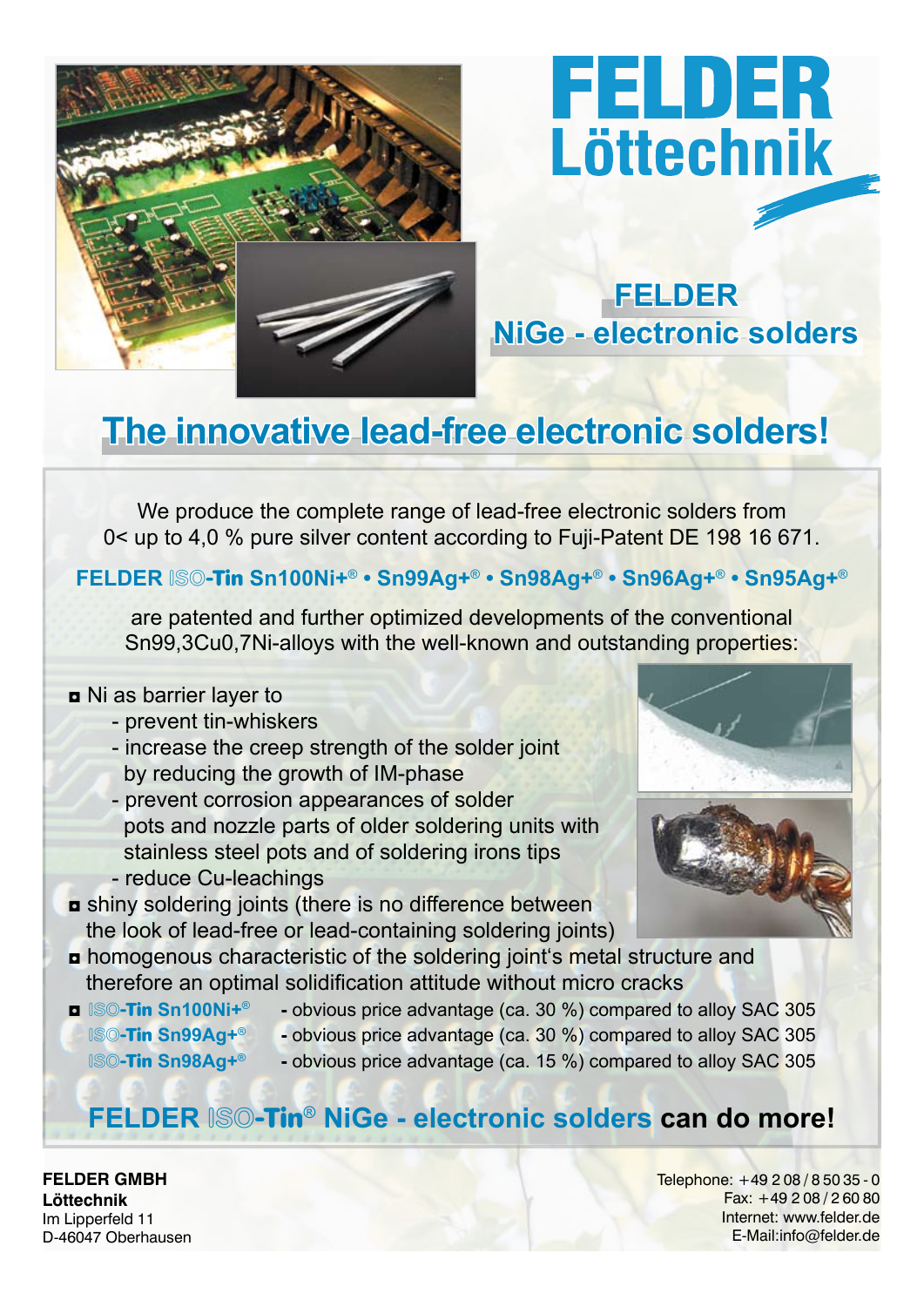

## **FELDER**<br>Löttechnik

#### **FELDER NiGe - electronic solders**

#### **The innovative lead-free electronic solders!**

We produce the complete range of lead-free electronic solders from 0< up to 4,0 % pure silver content according to Fuji-Patent DE 198 16 671.

#### **FELDER** ISO**-Tin Sn100Ni+**® **• Sn99Ag+**® **• Sn98Ag+**® **• Sn96Ag+**® **• Sn95Ag+**®

are patented and further optimized developments of the conventional Sn99,3Cu0,7Ni-alloys with the well-known and outstanding properties:

#### ◘ Ni as barrier layer to

- prevent tin-whiskers
- increase the creep strength of the solder joint by reducing the growth of IM-phase
- prevent corrosion appearances of solder pots and nozzle parts of older soldering units with stainless steel pots and of soldering irons tips - reduce Cu-leachings
- ◘ shiny soldering joints (there is no difference between the look of lead-free or lead-containing soldering joints)
- ◘ homogenous characteristic of the soldering joint's metal structure and therefore an optimal solidification attitude without micro cracks
- ◘ ISO**-Tin Sn100Ni+**® **-** obvious price advantage (ca. 30 %) compared to alloy SAC 305
- 
- 
- ISO**-Tin Sn99Ag+**® **-** obvious price advantage (ca. 30 %) compared to alloy SAC 305
- - ISO**-Tin Sn98Ag+**® **-** obvious price advantage (ca. 15 %) compared to alloy SAC 305

#### **FELDER** ISO**-Tin**® **NiGe - electronic solders can do more!**

**FELDER GMBH Löttechnik** Im Lipperfeld 11 D-46047 Oberhausen Telephone: +49 2 08 / 8 50 35 - 0 Fax: +49 2 08 / 2 60 80 Internet: www.felder.de E-Mail:info@felder.de



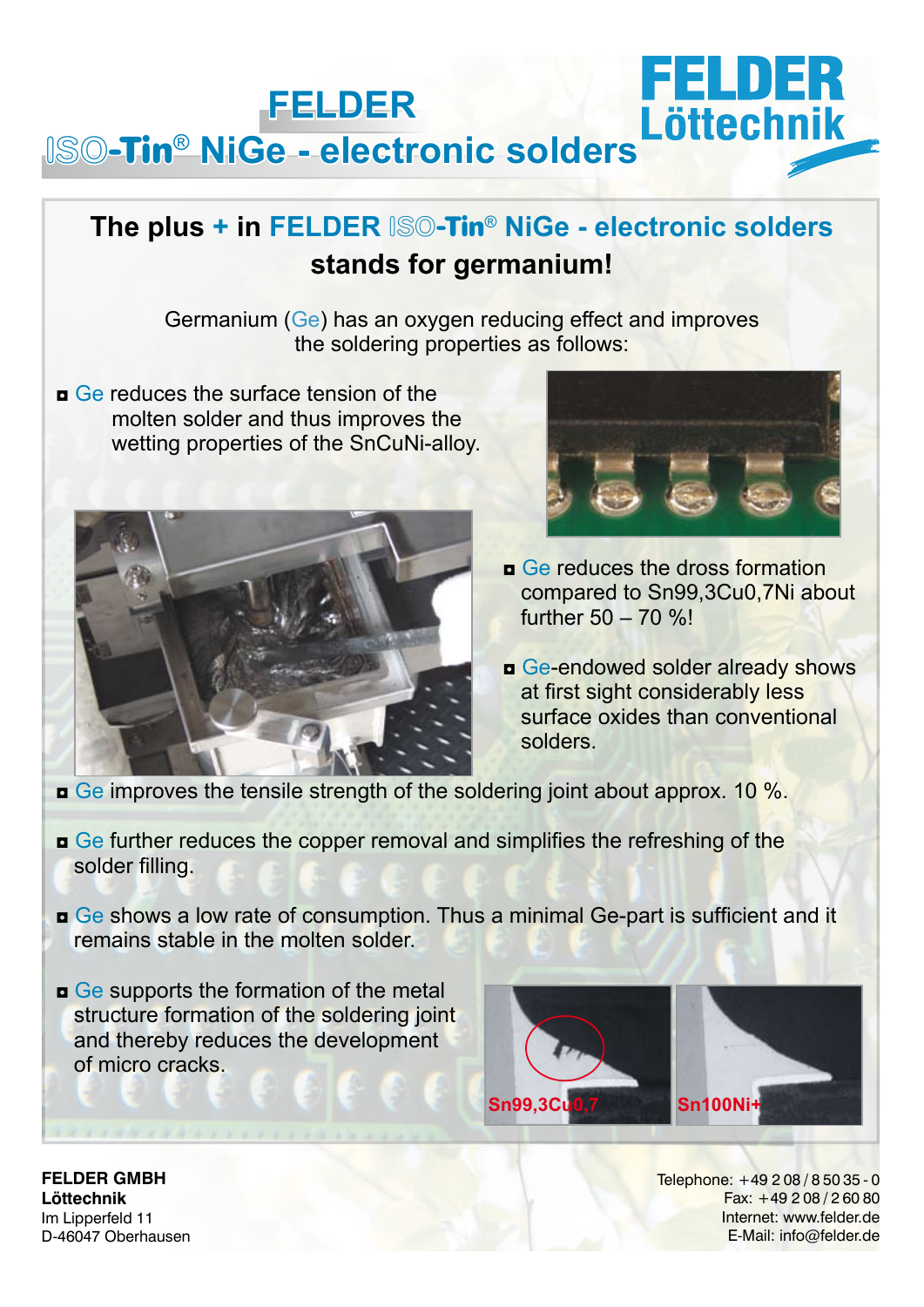#### FELDE **FELDER**  ISO**-Tin**® **NiGe - electronic solders**

#### **The plus + in FELDER** ISO**-Tin**® **NiGe - electronic solders stands for germanium!**

Germanium (Ge) has an oxygen reducing effect and improves the soldering properties as follows:

 $\Box$  Ge reduces the surface tension of the molten solder and thus improves the wetting properties of the SnCuNi-alloy.





- **<u>n</u>** Ge reduces the dross formation compared to Sn99,3Cu0,7Ni about further 50 – 70 %!
- $\Box$  Ge-endowed solder already shows at first sight considerably less surface oxides than conventional
- $\bullet$  Ge improves the tensile strength of the soldering joint about approx. 10 %.
- ◘ Ge further reduces the copper removal and simplifies the refreshing of the solder filling.
- ◘ Ge shows a low rate of consumption. Thus a minimal Ge-part is sufficient and it remains stable in the molten solder.
- ◘ Ge supports the formation of the metal structure formation of the soldering joint and thereby reduces the development of micro cracks.



**FELDER GMBH Löttechnik** Im Lipperfeld 11 D-46047 Oberhausen Telephone: +49 2 08 / 8 50 35 - 0 Fax: +49 2 08 / 2 60 80 Internet: www.felder.de E-Mail: info@felder.de